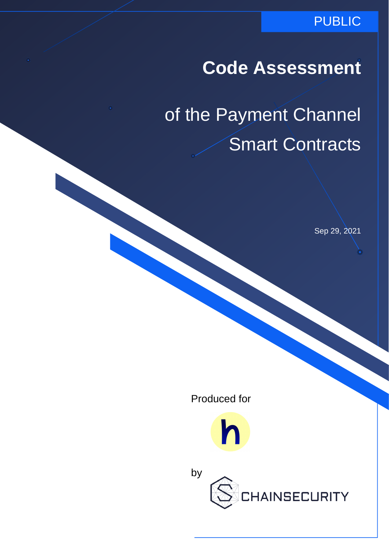### PUBLIC

# **Code Assessment**

# of the Payment Channel Smart Contracts

Sep 29, 2021

Produced for



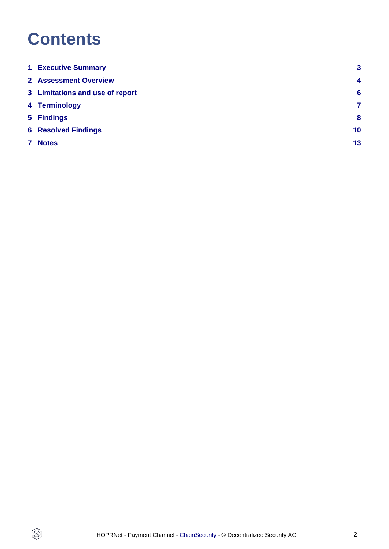# **Contents**

 $\circledS$ 

|   | <b>1 Executive Summary</b>      | 3                |
|---|---------------------------------|------------------|
|   | <b>2 Assessment Overview</b>    | $\boldsymbol{4}$ |
|   | 3 Limitations and use of report | 6                |
|   | 4 Terminology                   | 7                |
|   | 5 Findings                      | 8                |
|   | <b>6 Resolved Findings</b>      | 10 <sup>°</sup>  |
| 7 | <b>Notes</b>                    | 13               |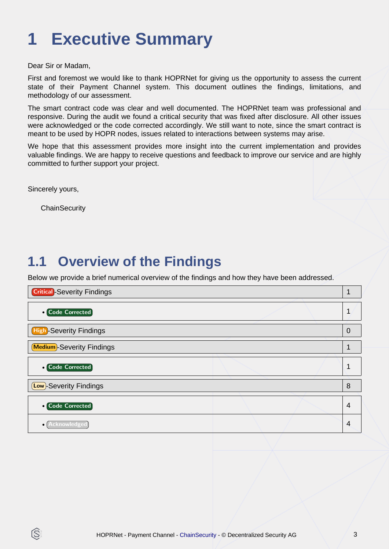# <span id="page-2-0"></span>**1 Executive Summary**

Dear Sir or Madam,

First and foremost we would like to thank HOPRNet for giving us the opportunity to assess the current state of their Payment Channel system. This document outlines the findings, limitations, and methodology of our assessment.

The smart contract code was clear and well documented. The HOPRNet team was professional and responsive. During the audit we found a critical security that was fixed after disclosure. All other issues were acknowledged or the code corrected accordingly. We still want to note, since the smart contract is meant to be used by HOPR nodes, issues related to interactions between systems may arise.

We hope that this assessment provides more insight into the current implementation and provides valuable findings. We are happy to receive questions and feedback to improve our service and are highly committed to further support your project.

Sincerely yours,

ß

**ChainSecurity** 

## **1.1 Overview of the Findings**

Below we provide a brief numerical overview of the findings and how they have been addressed.

| <b>Critical</b> -Severity Findings |                |
|------------------------------------|----------------|
| <b>• Code Corrected</b>            | 1              |
| <b>High-Severity Findings</b>      | $\overline{0}$ |
| <b>Medium</b> -Severity Findings   |                |
| <b>o</b> Code Corrected            |                |
| <b>Low</b> )-Severity Findings     | 8              |
| • Code Corrected                   | 4              |
| Acknowledged                       | 4              |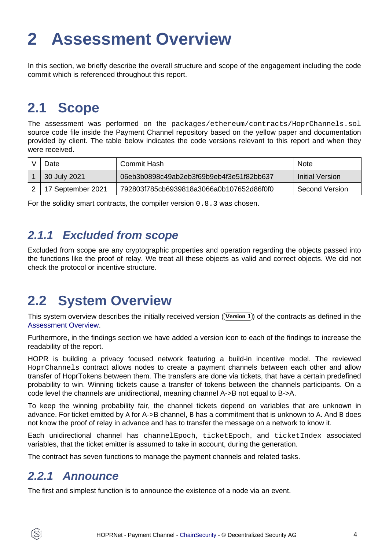# <span id="page-3-1"></span><span id="page-3-0"></span>**2 Assessment Overview**

In this section, we briefly describe the overall structure and scope of the engagement including the code commit which is referenced throughout this report.

## **2.1 Scope**

The assessment was performed on the packages/ethereum/contracts/HoprChannels.sol source code file inside the Payment Channel repository based on the yellow paper and documentation provided by client. The table below indicates the code versions relevant to this report and when they were received.

| ⊃ate              | Commit Hash                              | Note            |
|-------------------|------------------------------------------|-----------------|
| 30 July 2021      | 06eb3b0898c49ab2eb3f69b9eb4f3e51f82bb637 | Initial Version |
| 17 September 2021 | 792803f785cb6939818a3066a0b107652d86f0f0 | Second Version  |

For the solidity smart contracts, the compiler version 0.8.3 was chosen.

### **2.1.1 Excluded from scope**

Excluded from scope are any cryptographic properties and operation regarding the objects passed into the functions like the proof of relay. We treat all these objects as valid and correct objects. We did not check the protocol or incentive structure.

## **2.2 System Overview**

This system overview describes the initially received version ((Version 1)) of the contracts as defined in the [Assessment Overview](#page-3-1).

Furthermore, in the findings section we have added a version icon to each of the findings to increase the readability of the report.

HOPR is building a privacy focused network featuring a build-in incentive model. The reviewed HoprChannels contract allows nodes to create a payment channels between each other and allow transfer of HoprTokens between them. The transfers are done via tickets, that have a certain predefined probability to win. Winning tickets cause a transfer of tokens between the channels participants. On a code level the channels are unidirectional, meaning channel A->B not equal to B->A.

To keep the winning probability fair, the channel tickets depend on variables that are unknown in advance. For ticket emitted by A for A->B channel, B has a commitment that is unknown to A. And B does not know the proof of relay in advance and has to transfer the message on a network to know it.

Each unidirectional channel has channelEpoch, ticketEpoch, and ticketIndex associated variables, that the ticket emitter is assumed to take in account, during the generation.

The contract has seven functions to manage the payment channels and related tasks.

### **2.2.1 Announce**

Ĝ.

The first and simplest function is to announce the existence of a node via an event.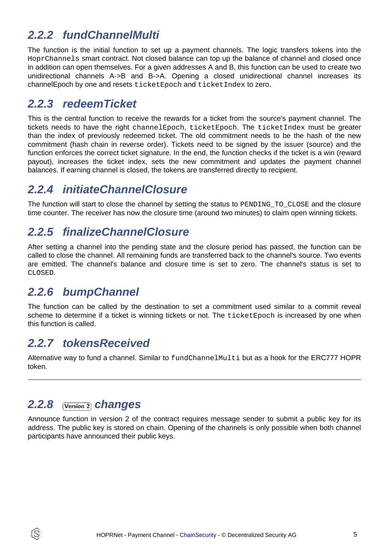### **2.2.2 fundChannelMulti**

The function is the initial function to set up a payment channels. The logic transfers tokens into the HoprChannels smart contract. Not closed balance can top up the balance of channel and closed once in addition can open themselves. For a given addresses A and B, this function can be used to create two unidirectional channels A->B and B->A. Opening a closed unidirectional channel increases its channelEpoch by one and resets ticketEpoch and ticketIndex to zero.

### **2.2.3 redeemTicket**

This is the central function to receive the rewards for a ticket from the source's payment channel. The tickets needs to have the right channelEpoch, ticketEpoch. The ticketIndex must be greater than the index of previously redeemed ticket. The old commitment needs to be the hash of the new commitment (hash chain in reverse order). Tickets need to be signed by the issuer (source) and the function enforces the correct ticket signature. In the end, the function checks if the ticket is a win (reward payout), increases the ticket index, sets the new commitment and updates the payment channel balances. If earning channel is closed, the tokens are transferred directly to recipient.

### **2.2.4 initiateChannelClosure**

The function will start to close the channel by setting the status to PENDING TO CLOSE and the closure time counter. The receiver has now the closure time (around two minutes) to claim open winning tickets.

### **2.2.5 finalizeChannelClosure**

After setting a channel into the pending state and the closure period has passed, the function can be called to close the channel. All remaining funds are transferred back to the channel's source. Two events are emitted. The channel's balance and closure time is set to zero. The channel's status is set to CLOSED.

### **2.2.6 bumpChannel**

The function can be called by the destination to set a commitment used similar to a commit reveal scheme to determine if a ticket is winning tickets or not. The ticketEpoch is increased by one when this function is called.

### **2.2.7 tokensReceived**

Alternative way to fund a channel. Similar to fundChannelMulti but as a hook for the ERC777 HOPR token.

#### **2.2.8**  Version 2  **changes**

S

Announce function in version 2 of the contract requires message sender to submit a public key for its address. The public key is stored on chain. Opening of the channels is only possible when both channel participants have announced their public keys.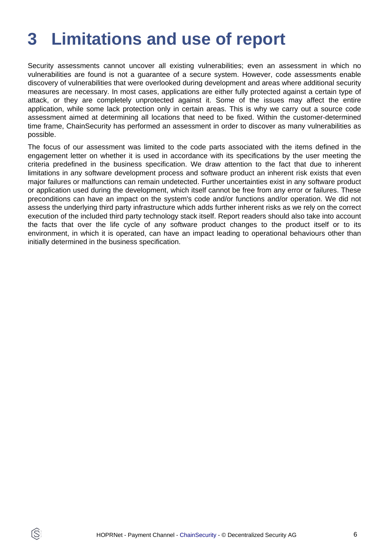# <span id="page-5-0"></span>**3 Limitations and use of report**

Security assessments cannot uncover all existing vulnerabilities; even an assessment in which no vulnerabilities are found is not a guarantee of a secure system. However, code assessments enable discovery of vulnerabilities that were overlooked during development and areas where additional security measures are necessary. In most cases, applications are either fully protected against a certain type of attack, or they are completely unprotected against it. Some of the issues may affect the entire application, while some lack protection only in certain areas. This is why we carry out a source code assessment aimed at determining all locations that need to be fixed. Within the customer-determined time frame, ChainSecurity has performed an assessment in order to discover as many vulnerabilities as possible.

The focus of our assessment was limited to the code parts associated with the items defined in the engagement letter on whether it is used in accordance with its specifications by the user meeting the criteria predefined in the business specification. We draw attention to the fact that due to inherent limitations in any software development process and software product an inherent risk exists that even major failures or malfunctions can remain undetected. Further uncertainties exist in any software product or application used during the development, which itself cannot be free from any error or failures. These preconditions can have an impact on the system's code and/or functions and/or operation. We did not assess the underlying third party infrastructure which adds further inherent risks as we rely on the correct execution of the included third party technology stack itself. Report readers should also take into account the facts that over the life cycle of any software product changes to the product itself or to its environment, in which it is operated, can have an impact leading to operational behaviours other than initially determined in the business specification.

ÍŠ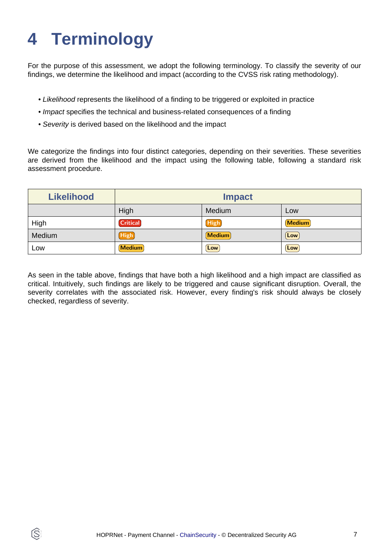# <span id="page-6-0"></span>**4 Terminology**

ÍŜ

For the purpose of this assessment, we adopt the following terminology. To classify the severity of our findings, we determine the likelihood and impact (according to the CVSS risk rating methodology).

- Likelihood represents the likelihood of a finding to be triggered or exploited in practice
- Impact specifies the technical and business-related consequences of a finding
- Severity is derived based on the likelihood and the impact

We categorize the findings into four distinct categories, depending on their severities. These severities are derived from the likelihood and the impact using the following table, following a standard risk assessment procedure.

| <b>Likelihood</b> | <b>Impact</b>   |             |               |
|-------------------|-----------------|-------------|---------------|
|                   | High            | Medium      | Low           |
| High              | <b>Critical</b> | High        | <b>Medium</b> |
| Medium            | <b>High</b>     | Medium      | Low           |
| LOW               | <b>Medium</b>   | $[$ Low $]$ | Low           |

As seen in the table above, findings that have both a high likelihood and a high impact are classified as critical. Intuitively, such findings are likely to be triggered and cause significant disruption. Overall, the severity correlates with the associated risk. However, every finding's risk should always be closely checked, regardless of severity.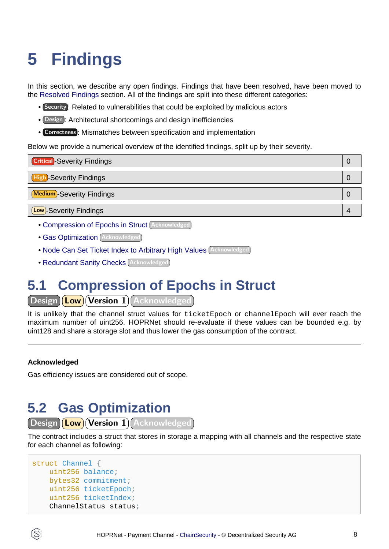# <span id="page-7-3"></span><span id="page-7-0"></span>**5 Findings**

In this section, we describe any open findings. Findings that have been resolved, have been moved to the [Resolved Findings](#page-9-1) section. All of the findings are split into these different categories:

- Security : Related to vulnerabilities that could be exploited by malicious actors
- Design : Architectural shortcomings and design inefficiencies
- Correctness : Mismatches between specification and implementation

Below we provide a numerical overview of the identified findings, split up by their severity.

| <b>Critical</b> -Severity Findings | O |
|------------------------------------|---|
| <b>High-Severity Findings</b>      | U |
| <b>Medium</b> -Severity Findings   |   |
| <b>Low</b> )-Severity Findings     |   |
|                                    |   |

- [Compression of Epochs in Struct](#page-7-1) Acknowledged
- **[Gas Optimization](#page-7-2)** (Acknowledged
- [Node Can Set Ticket Index to Arbitrary High Values](#page-8-0) Acknowledged
- [Redundant Sanity Checks](#page-8-1) (Acknowledged

## <span id="page-7-1"></span>**5.1 Compression of Epochs in Struct**

Design (Low) Version 1 Acknowledged

It is unlikely that the channel struct values for ticketEpoch or channelEpoch will ever reach the maximum number of uint256. HOPRNet should re-evaluate if these values can be bounded e.g. by uint128 and share a storage slot and thus lower the gas consumption of the contract.

#### **Acknowledged**

Gas efficiency issues are considered out of scope.

## <span id="page-7-2"></span>**5.2 Gas Optimization**

```
(Design ) (Low ) (Version 1) (Acknowledged
```
The contract includes a struct that stores in storage a mapping with all channels and the respective state for each channel as following:

```
struct Channel {
    uint256 balance;
    bytes32 commitment;
    uint256 ticketEpoch;
    uint256 ticketIndex;
    ChannelStatus status;
```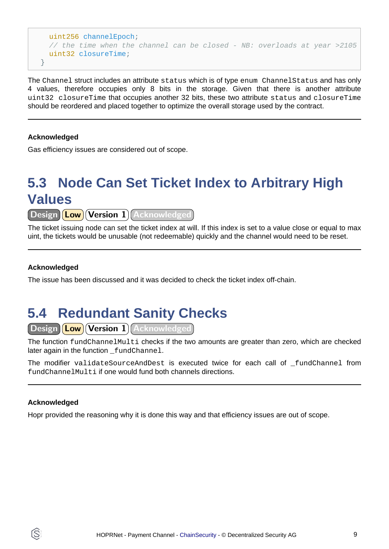```
 uint256 channelEpoch;
    // the time when the channel can be closed - NB: overloads at year >2105
    uint32 closureTime;
}
```
The Channel struct includes an attribute status which is of type enum ChannelStatus and has only 4 values, therefore occupies only 8 bits in the storage. Given that there is another attribute uint32 closureTime that occupies another 32 bits, these two attribute status and closureTime should be reordered and placed together to optimize the overall storage used by the contract.

#### **Acknowledged**

Gas efficiency issues are considered out of scope.

## <span id="page-8-0"></span>**5.3 Node Can Set Ticket Index to Arbitrary High Values**

 $\sqrt{|\text{Design}|}$  Low $\sqrt{|\text{Version 1}|}$  Acknowledged

The ticket issuing node can set the ticket index at will. If this index is set to a value close or equal to max uint, the tickets would be unusable (not redeemable) quickly and the channel would need to be reset.

#### **Acknowledged**

The issue has been discussed and it was decided to check the ticket index off-chain.

## <span id="page-8-1"></span>**5.4 Redundant Sanity Checks**

Design (Low Version 1) Acknowledged

The function fundChannelMulti checks if the two amounts are greater than zero, which are checked later again in the function \_fundChannel.

The modifier validateSourceAndDest is executed twice for each call of \_fundChannel from fundChannelMulti if one would fund both channels directions.

#### **Acknowledged**

Hopr provided the reasoning why it is done this way and that efficiency issues are out of scope.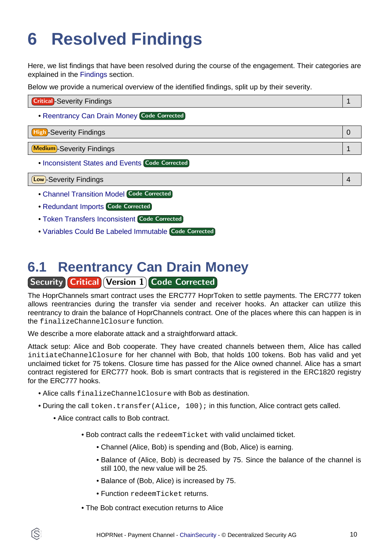# <span id="page-9-1"></span><span id="page-9-0"></span>**6 Resolved Findings**

Here, we list findings that have been resolved during the course of the engagement. Their categories are explained in the [Findings](#page-7-3) section.

Below we provide a numerical overview of the identified findings, split up by their severity.

| <b>Critical</b> - Severity Findings           |  |
|-----------------------------------------------|--|
| • Reentrancy Can Drain Money (Code Corrected) |  |
| <b>High-Severity Findings</b>                 |  |

Medium -Severity Findings 1

• [Inconsistent States and Events](#page-10-0) Code Corrected

Low -Severity Findings 4

- [Channel Transition Model](#page-10-1) Code Corrected
- [Redundant Imports](#page-11-0) Code Corrected
- [Token Transfers Inconsistent](#page-11-1) Code Corrected
- [Variables Could Be Labeled Immutable](#page-11-2) Code Corrected

## <span id="page-9-2"></span>**6.1 Reentrancy Can Drain Money Security Critical Version 1 Code Corrected**

The HoprChannels smart contract uses the ERC777 HoprToken to settle payments. The ERC777 token allows reentrancies during the transfer via sender and receiver hooks. An attacker can utilize this reentrancy to drain the balance of HoprChannels contract. One of the places where this can happen is in the finalizeChannelClosure function.

We describe a more elaborate attack and a straightforward attack.

Attack setup: Alice and Bob cooperate. They have created channels between them, Alice has called initiateChannelClosure for her channel with Bob, that holds 100 tokens. Bob has valid and yet unclaimed ticket for 75 tokens. Closure time has passed for the Alice owned channel. Alice has a smart contract registered for ERC777 hook. Bob is smart contracts that is registered in the ERC1820 registry for the ERC777 hooks.

- Alice calls finalizeChannelClosure with Bob as destination.
- During the call token.transfer(Alice, 100); in this function, Alice contract gets called.
	- Alice contract calls to Bob contract.

S

- Bob contract calls the redeemTicket with valid unclaimed ticket.
	- Channel (Alice, Bob) is spending and (Bob, Alice) is earning.
	- Balance of (Alice, Bob) is decreased by 75. Since the balance of the channel is still 100, the new value will be 25.
	- Balance of (Bob, Alice) is increased by 75.
	- Function redeemTicket returns.
- The Bob contract execution returns to Alice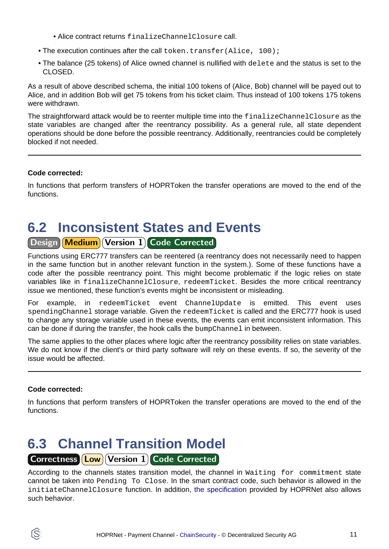- Alice contract returns finalizeChannelClosure call.
- The execution continues after the call token.transfer (Alice, 100);
- The balance (25 tokens) of Alice owned channel is nullified with delete and the status is set to the CLOSED.

As a result of above described schema, the initial 100 tokens of (Alice, Bob) channel will be payed out to Alice, and in addition Bob will get 75 tokens from his ticket claim. Thus instead of 100 tokens 175 tokens were withdrawn.

The straightforward attack would be to reenter multiple time into the finalizeChannelClosure as the state variables are changed after the reentrancy possibility. As a general rule, all state dependent operations should be done before the possible reentrancy. Additionally, reentrancies could be completely blocked if not needed.

#### **Code corrected:**

In functions that perform transfers of HOPRToken the transfer operations are moved to the end of the functions.

### <span id="page-10-0"></span>**6.2 Inconsistent States and Events** Design Medium Version 1 Code Corrected

Functions using ERC777 transfers can be reentered (a reentrancy does not necessarily need to happen in the same function but in another relevant function in the system.). Some of these functions have a code after the possible reentrancy point. This might become problematic if the logic relies on state variables like in finalizeChannelClosure, redeemTicket. Besides the more critical reentrancy issue we mentioned, these function's events might be inconsistent or misleading.

For example, in redeemTicket event ChannelUpdate is emitted. This event uses spendingChannel storage variable. Given the redeemTicket is called and the ERC777 hook is used to change any storage variable used in these events, the events can emit inconsistent information. This can be done if during the transfer, the hook calls the bumpChannel in between.

The same applies to the other places where logic after the reentrancy possibility relies on state variables. We do not know if the client's or third party software will rely on these events. If so, the severity of the issue would be affected.

#### **Code corrected:**

In functions that perform transfers of HOPRToken the transfer operations are moved to the end of the functions.

### <span id="page-10-1"></span>**6.3 Channel Transition Model** Correctness **Low** Version 1 Code Corrected

According to the channels states transition model, the channel in Waiting for commitment state

cannot be taken into Pending To Close. In the smart contract code, such behavior is allowed in the initiateChannelClosure function. In addition[, the specification](https://github.com/hoprnet/hopr-audits/blob/main/audits/hopr-channels/spec.md) provided by HOPRNet also allows such behavior.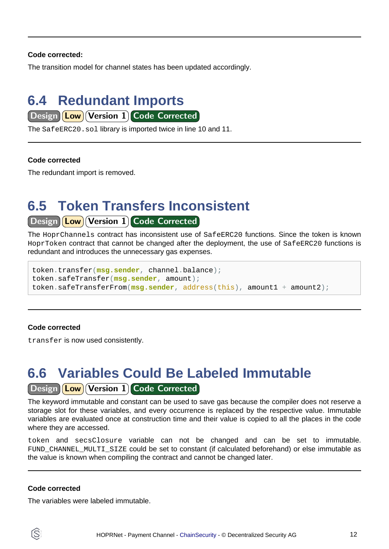#### **Code corrected:**

The transition model for channel states has been updated accordingly.

## <span id="page-11-0"></span>**6.4 Redundant Imports**

 $\boxed{\text{Design}(\text{Low})}$  Version 1 Code Corrected

The SafeERC20.sol library is imported twice in line 10 and 11.

#### **Code corrected**

The redundant import is removed.

## <span id="page-11-1"></span>**6.5 Token Transfers Inconsistent**

#### Design **Low** Version 1 Code Corrected

The HoprChannels contract has inconsistent use of SafeERC20 functions. Since the token is known HoprToken contract that cannot be changed after the deployment, the use of SafeERC20 functions is redundant and introduces the unnecessary gas expenses.

token.transfer(**msg.sender**, channel.balance); token.safeTransfer(**msg.sender**, amount); token.safeTransferFrom(**msg.sender**, address(this), amount1 + amount2);

#### **Code corrected**

transfer is now used consistently.

# <span id="page-11-2"></span>**6.6 Variables Could Be Labeled Immutable**

Design **Low** Version 1 Code Corrected

The keyword immutable and constant can be used to save gas because the compiler does not reserve a storage slot for these variables, and every occurrence is replaced by the respective value. Immutable variables are evaluated once at construction time and their value is copied to all the places in the code where they are accessed.

token and secsClosure variable can not be changed and can be set to immutable. FUND CHANNEL MULTI SIZE could be set to constant (if calculated beforehand) or else immutable as the value is known when compiling the contract and cannot be changed later.

#### **Code corrected**

The variables were labeled immutable.